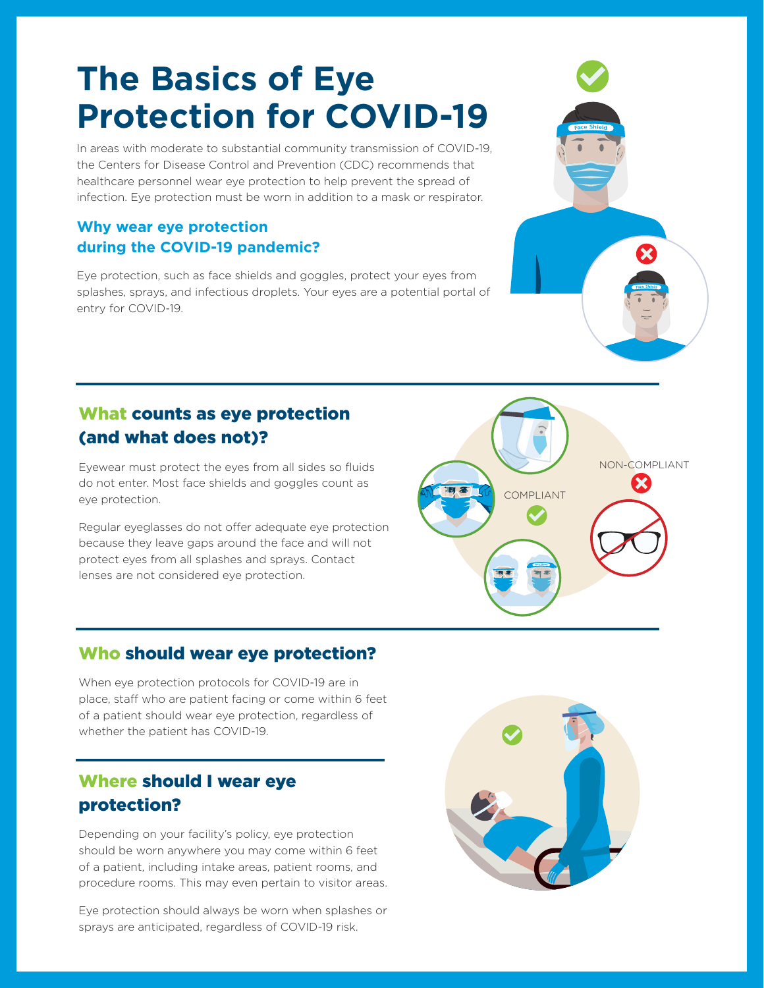# **The Basics of Eye Protection for COVID-19**

In areas with moderate to substantial community transmission of COVID-19, the Centers for Disease Control and Prevention (CDC) recommends that healthcare personnel wear eye protection to help prevent the spread of infection. Eye protection must be worn in addition to a mask or respirator.

#### **Why wear eye protection during the COVID-19 pandemic?**

Eye protection, such as face shields and goggles, protect your eyes from splashes, sprays, and infectious droplets. Your eyes are a potential portal of entry for COVID-19.

## What counts as eye protection (and what does not)?

Eyewear must protect the eyes from all sides so fluids do not enter. Most face shields and goggles count as eye protection.

Regular eyeglasses do not offer adequate eye protection because they leave gaps around the face and will not protect eyes from all splashes and sprays. Contact lenses are not considered eye protection.



#### Who should wear eye protection?

When eye protection protocols for COVID-19 are in place, staff who are patient facing or come within 6 feet of a patient should wear eye protection, regardless of whether the patient has COVID-19.

## Where should I wear eye protection?

Depending on your facility's policy, eye protection should be worn anywhere you may come within 6 feet of a patient, including intake areas, patient rooms, and procedure rooms. This may even pertain to visitor areas.

Eye protection should always be worn when splashes or sprays are anticipated, regardless of COVID-19 risk.